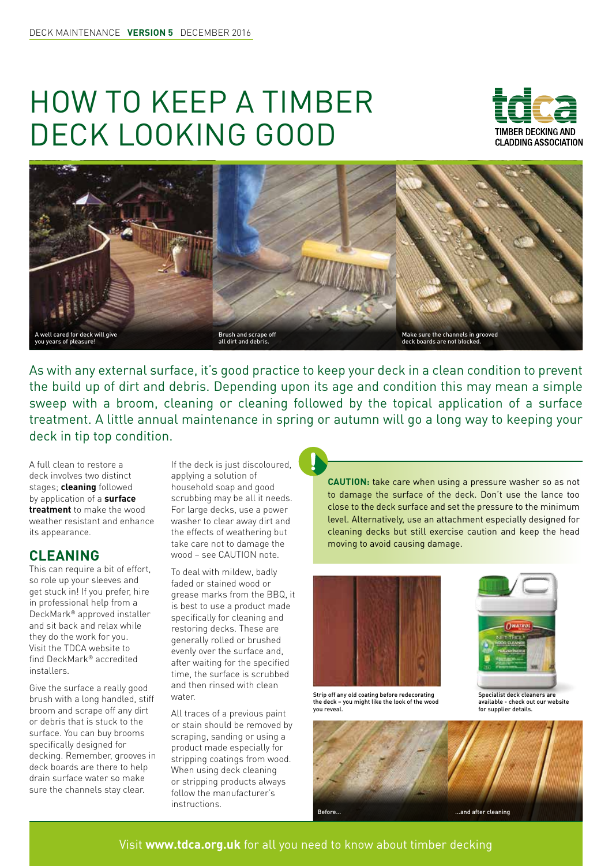## HOW TO KEEP A TIMBER DECK LOOKING GOOD





As with any external surface, it's good practice to keep your deck in a clean condition to prevent the build up of dirt and debris. Depending upon its age and condition this may mean a simple sweep with a broom, cleaning or cleaning followed by the topical application of a surface treatment. A little annual maintenance in spring or autumn will go a long way to keeping your deck in tip top condition.

A full clean to restore a deck involves two distinct stages; **cleaning** followed by application of a **surface treatment** to make the wood weather resistant and enhance its appearance.

## **CLEANING**

This can require a bit of effort, so role up your sleeves and get stuck in! If you prefer, hire in professional help from a DeckMark® approved installer and sit back and relax while they do the work for you. Visit the TDCA website to find DeckMark® accredited installers.

Give the surface a really good brush with a long handled, stiff broom and scrape off any dirt or debris that is stuck to the surface. You can buy brooms specifically designed for decking. Remember, grooves in deck boards are there to help drain surface water so make sure the channels stay clear.

If the deck is just discoloured, applying a solution of household soap and good scrubbing may be all it needs. For large decks, use a power washer to clear away dirt and the effects of weathering but take care not to damage the wood – see CAUTION note.

To deal with mildew, badly faded or stained wood or grease marks from the BBQ, it is best to use a product made specifically for cleaning and restoring decks. These are generally rolled or brushed evenly over the surface and, after waiting for the specified time, the surface is scrubbed and then rinsed with clean water.

All traces of a previous paint or stain should be removed by scraping, sanding or using a product made especially for stripping coatings from wood. When using deck cleaning or stripping products always follow the manufacturer's

**CAUTION:** take care when using a pressure washer so as not to damage the surface of the deck. Don't use the lance too close to the deck surface and set the pressure to the minimum level. Alternatively, use an attachment especially designed for cleaning decks but still exercise caution and keep the head moving to avoid causing damage.







Specialist deck cleaners are available - check out our website for supplier details.



Visit **www.tdca.org.uk** for all you need to know about timber decking